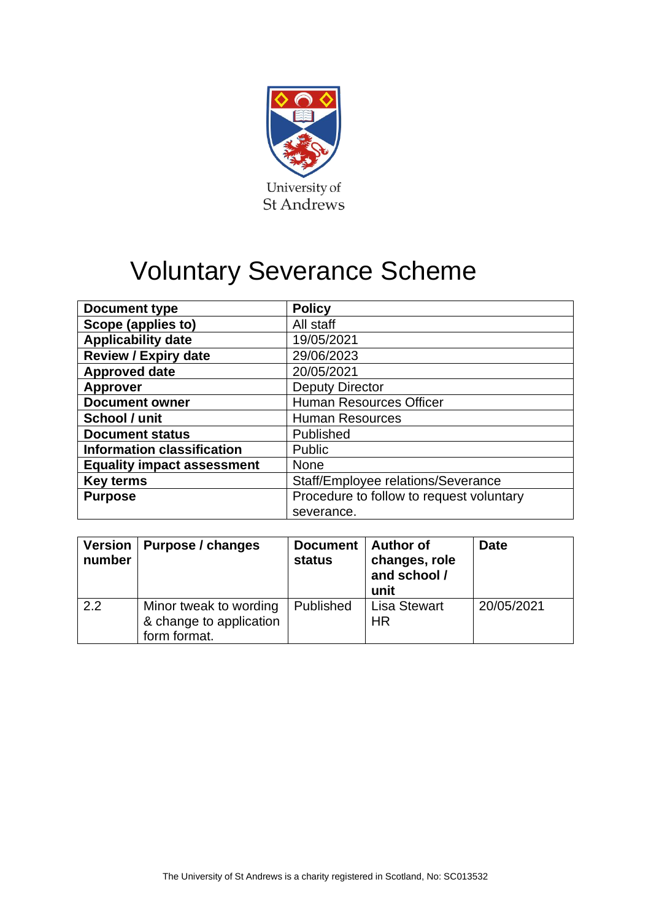

# Voluntary Severance Scheme

| <b>Document type</b>              | <b>Policy</b>                            |  |  |
|-----------------------------------|------------------------------------------|--|--|
| Scope (applies to)                | All staff                                |  |  |
| <b>Applicability date</b>         | 19/05/2021                               |  |  |
| <b>Review / Expiry date</b>       | 29/06/2023                               |  |  |
| <b>Approved date</b>              | 20/05/2021                               |  |  |
| <b>Approver</b>                   | <b>Deputy Director</b>                   |  |  |
| <b>Document owner</b>             | <b>Human Resources Officer</b>           |  |  |
| School / unit                     | <b>Human Resources</b>                   |  |  |
| <b>Document status</b>            | Published                                |  |  |
| <b>Information classification</b> | <b>Public</b>                            |  |  |
| <b>Equality impact assessment</b> | <b>None</b>                              |  |  |
| <b>Key terms</b>                  | Staff/Employee relations/Severance       |  |  |
| <b>Purpose</b>                    | Procedure to follow to request voluntary |  |  |
|                                   | severance.                               |  |  |

| Version<br>number | Purpose / changes                                                 | <b>Document</b><br><b>status</b> | <b>Author of</b><br>changes, role<br>and school /<br>unit | <b>Date</b> |
|-------------------|-------------------------------------------------------------------|----------------------------------|-----------------------------------------------------------|-------------|
| 2.2               | Minor tweak to wording<br>& change to application<br>form format. | Published                        | <b>Lisa Stewart</b><br>HR                                 | 20/05/2021  |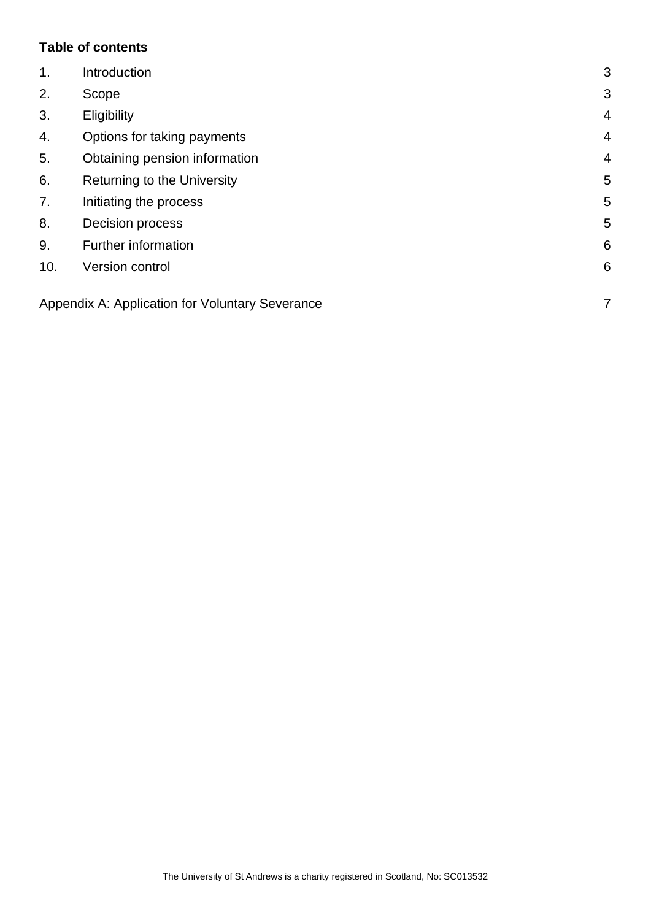### **Table of contents**

| $\mathbf{1}$ . | Introduction                                    | 3              |
|----------------|-------------------------------------------------|----------------|
| 2.             | Scope                                           | 3              |
| 3.             | Eligibility                                     | $\overline{4}$ |
| 4.             | Options for taking payments                     | $\overline{4}$ |
| 5.             | Obtaining pension information                   | $\overline{4}$ |
| 6.             | Returning to the University                     | 5              |
| 7.             | Initiating the process                          | 5              |
| 8.             | Decision process                                | 5              |
| 9.             | Further information                             | 6              |
| 10.            | Version control                                 | 6              |
|                | Appendix A: Application for Voluntary Severance | 7              |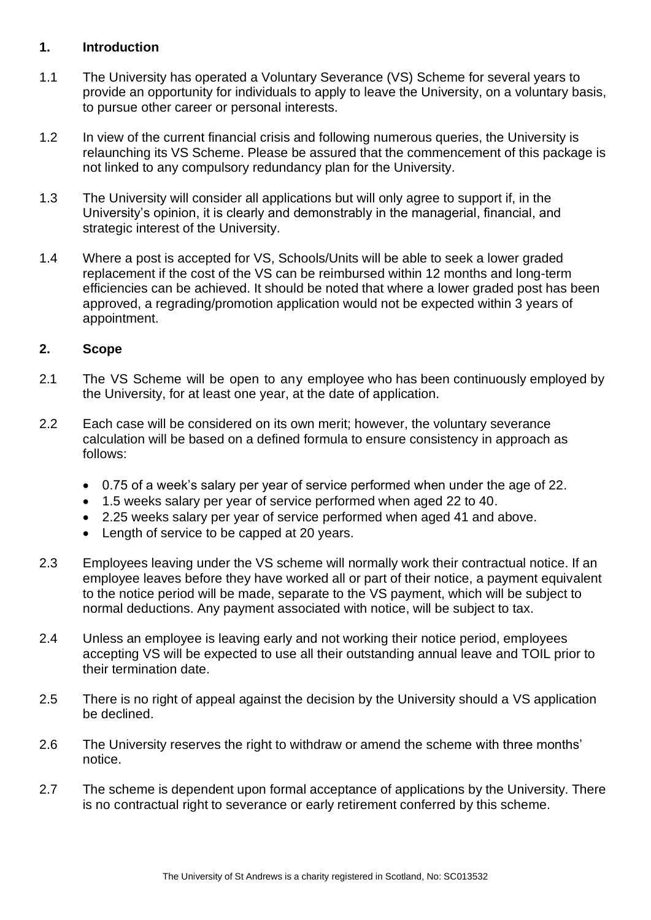#### <span id="page-2-0"></span>**1. Introduction**

- 1.1 The University has operated a Voluntary Severance (VS) Scheme for several years to provide an opportunity for individuals to apply to leave the University, on a voluntary basis, to pursue other career or personal interests.
- 1.2 In view of the current financial crisis and following numerous queries, the University is relaunching its VS Scheme. Please be assured that the commencement of this package is not linked to any compulsory redundancy plan for the University.
- 1.3 The University will consider all applications but will only agree to support if, in the University's opinion, it is clearly and demonstrably in the managerial, financial, and strategic interest of the University.
- 1.4 Where a post is accepted for VS, Schools/Units will be able to seek a lower graded replacement if the cost of the VS can be reimbursed within 12 months and long-term efficiencies can be achieved. It should be noted that where a lower graded post has been approved, a regrading/promotion application would not be expected within 3 years of appointment.

## <span id="page-2-1"></span>**2. Scope**

- 2.1 The VS Scheme will be open to any employee who has been continuously employed by the University, for at least one year, at the date of application.
- 2.2 Each case will be considered on its own merit; however, the voluntary severance calculation will be based on a defined formula to ensure consistency in approach as follows:
	- 0.75 of a week's salary per year of service performed when under the age of 22.
	- 1.5 weeks salary per year of service performed when aged 22 to 40.
	- 2.25 weeks salary per year of service performed when aged 41 and above.
	- Length of service to be capped at 20 years.
- 2.3 Employees leaving under the VS scheme will normally work their contractual notice. If an employee leaves before they have worked all or part of their notice, a payment equivalent to the notice period will be made, separate to the VS payment, which will be subject to normal deductions. Any payment associated with notice, will be subject to tax.
- 2.4 Unless an employee is leaving early and not working their notice period, employees accepting VS will be expected to use all their outstanding annual leave and TOIL prior to their termination date.
- 2.5 There is no right of appeal against the decision by the University should a VS application be declined.
- 2.6 The University reserves the right to withdraw or amend the scheme with three months' notice.
- 2.7 The scheme is dependent upon formal acceptance of applications by the University. There is no contractual right to severance or early retirement conferred by this scheme.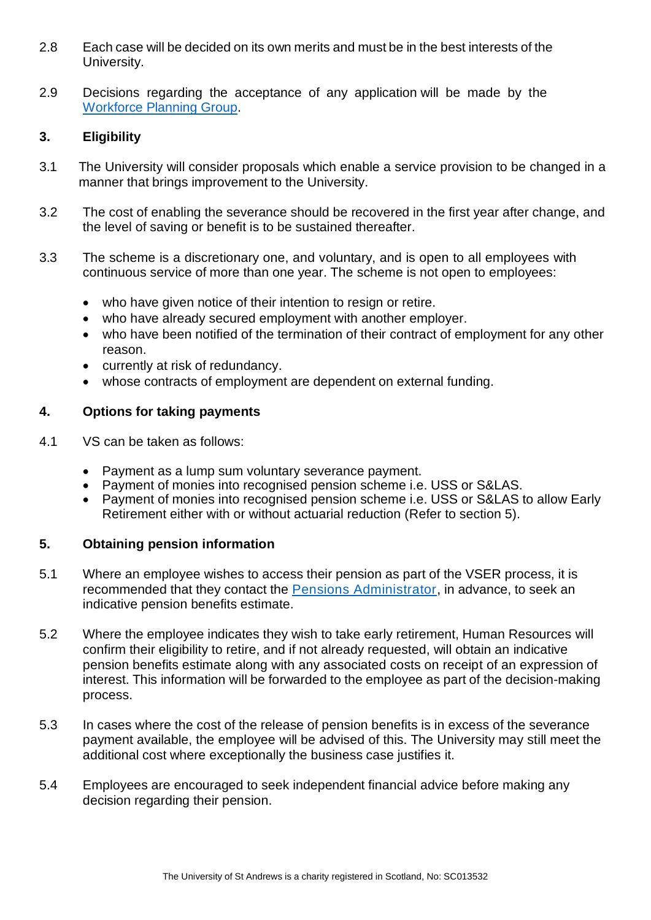- 2.8 Each case will be decided on its own merits and must be in the best interests of the University.
- 2.9 Decisions regarding the acceptance of any application will be made by the Workforce [Planning Group.](https://www.st-andrews.ac.uk/hr/workforceplanninggroup/)

## <span id="page-3-0"></span>**3. Eligibility**

- 3.1 The University will consider proposals which enable a service provision to be changed in a manner that brings improvement to the University.
- 3.2 The cost of enabling the severance should be recovered in the first year after change, and the level of saving or benefit is to be sustained thereafter.
- 3.3 The scheme is a discretionary one, and voluntary, and is open to all employees with continuous service of more than one year. The scheme is not open to employees:
	- who have given notice of their intention to resign or retire.
	- who have already secured employment with another employer.
	- who have been notified of the termination of their contract of employment for any other reason.
	- currently at risk of redundancy.
	- whose contracts of employment are dependent on external funding.

#### <span id="page-3-1"></span>**4. Options for taking payments**

- 4.1 VS can be taken as follows:
	- Payment as a lump sum voluntary severance payment.
	- Payment of monies into recognised pension scheme i.e. USS or S&LAS.
	- Payment of monies into recognised pension scheme i.e. USS or S&LAS to allow Early Retirement either with or without actuarial reduction (Refer to section 5).

## <span id="page-3-2"></span>**5. Obtaining pension information**

- 5.1 Where an employee wishes to access their pension as part of the VSER process, it is recommended that they contact the [Pensions Administrator,](mailto:pensions%20%3cpensions@st-andrews.ac.uk%3e) in advance, to seek an indicative pension benefits estimate.
- 5.2 Where the employee indicates they wish to take early retirement, Human Resources will confirm their eligibility to retire, and if not already requested, will obtain an indicative pension benefits estimate along with any associated costs on receipt of an expression of interest. This information will be forwarded to the employee as part of the decision-making process.
- 5.3 In cases where the cost of the release of pension benefits is in excess of the severance payment available, the employee will be advised of this. The University may still meet the additional cost where exceptionally the business case justifies it.
- 5.4 Employees are encouraged to seek independent financial advice before making any decision regarding their pension.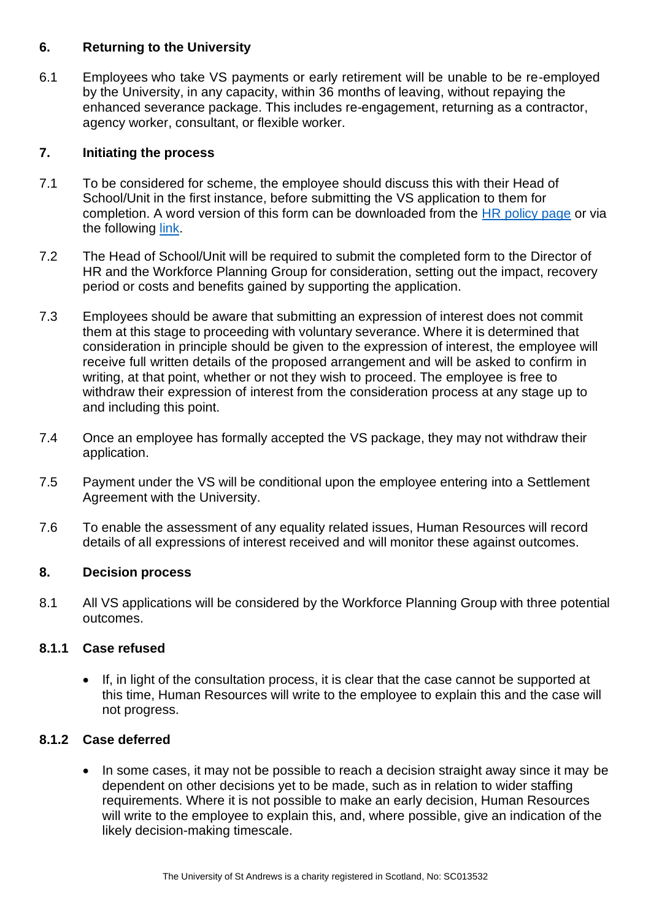### <span id="page-4-0"></span>**6. Returning to the University**

6.1 Employees who take VS payments or early retirement will be unable to be re-employed by the University, in any capacity, within 36 months of leaving, without repaying the enhanced severance package. This includes re-engagement, returning as a contractor, agency worker, consultant, or flexible worker.

#### <span id="page-4-1"></span>**7. Initiating the process**

- 7.1 To be considered for scheme, the employee should discuss this with their Head of School/Unit in the first instance, before submitting the VS application to them for completion. A word version of this form can be downloaded from the [HR policy](https://www.st-andrews.ac.uk/staff/policy/hr/) page or via the following [link.](https://www.st-andrews.ac.uk/media/human-resources/new-policy-section-documents/voluntaryseverance/Application_form_for_Voluntary_Severance.docx)
- 7.2 The Head of School/Unit will be required to submit the completed form to the Director of HR and the Workforce Planning Group for consideration, setting out the impact, recovery period or costs and benefits gained by supporting the application.
- 7.3 Employees should be aware that submitting an expression of interest does not commit them at this stage to proceeding with voluntary severance. Where it is determined that consideration in principle should be given to the expression of interest, the employee will receive full written details of the proposed arrangement and will be asked to confirm in writing, at that point, whether or not they wish to proceed. The employee is free to withdraw their expression of interest from the consideration process at any stage up to and including this point.
- 7.4 Once an employee has formally accepted the VS package, they may not withdraw their application.
- 7.5 Payment under the VS will be conditional upon the employee entering into a Settlement Agreement with the University.
- 7.6 To enable the assessment of any equality related issues, Human Resources will record details of all expressions of interest received and will monitor these against outcomes.

#### <span id="page-4-2"></span>**8. Decision process**

8.1 All VS applications will be considered by the Workforce Planning Group with three potential outcomes.

## **8.1.1 Case refused**

• If, in light of the consultation process, it is clear that the case cannot be supported at this time, Human Resources will write to the employee to explain this and the case will not progress.

## **8.1.2 Case deferred**

• In some cases, it may not be possible to reach a decision straight away since it may be dependent on other decisions yet to be made, such as in relation to wider staffing requirements. Where it is not possible to make an early decision, Human Resources will write to the employee to explain this, and, where possible, give an indication of the likely decision-making timescale.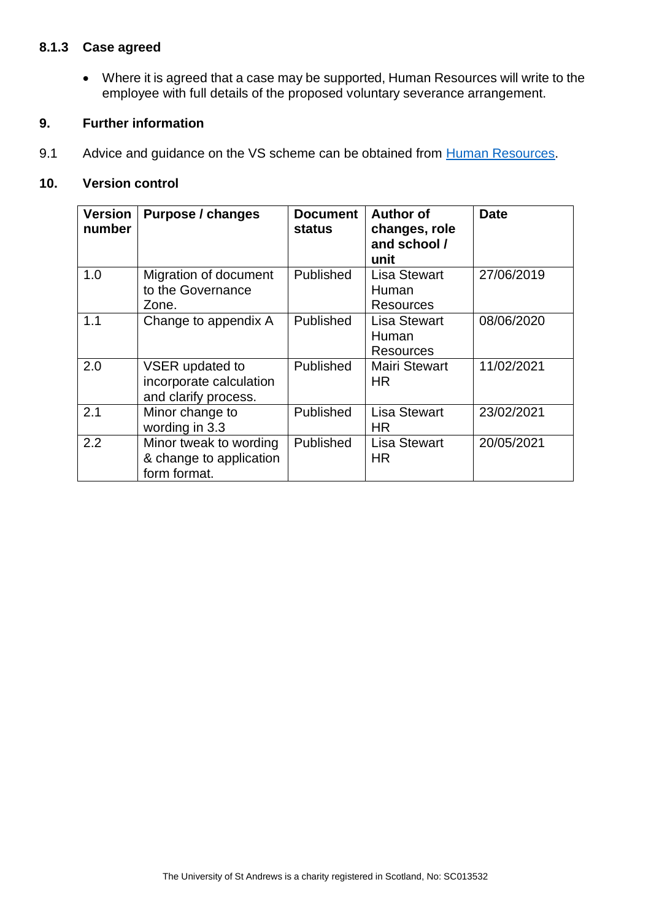#### **8.1.3 Case agreed**

• Where it is agreed that a case may be supported, Human Resources will write to the employee with full details of the proposed voluntary severance arrangement.

#### <span id="page-5-0"></span>**9. Further information**

9.1 Advice and guidance on the VS scheme can be obtained from [Human Resources.](mailto:humres@st-andrews.ac.uk)

#### <span id="page-5-1"></span>**10. Version control**

| <b>Version</b><br>number | <b>Purpose / changes</b>                                           | <b>Document</b><br><b>status</b> | <b>Author of</b><br>changes, role<br>and school /<br>unit | <b>Date</b> |
|--------------------------|--------------------------------------------------------------------|----------------------------------|-----------------------------------------------------------|-------------|
| 1.0                      | Migration of document<br>to the Governance<br>Zone.                | Published                        | <b>Lisa Stewart</b><br>Human<br><b>Resources</b>          | 27/06/2019  |
| 1.1                      | Change to appendix A                                               | <b>Published</b>                 | Lisa Stewart<br>Human<br><b>Resources</b>                 | 08/06/2020  |
| 2.0                      | VSER updated to<br>incorporate calculation<br>and clarify process. | Published                        | <b>Mairi Stewart</b><br><b>HR</b>                         | 11/02/2021  |
| 2.1                      | Minor change to<br>wording in 3.3                                  | Published                        | <b>Lisa Stewart</b><br><b>HR</b>                          | 23/02/2021  |
| 2.2                      | Minor tweak to wording<br>& change to application<br>form format.  | Published                        | <b>Lisa Stewart</b><br><b>HR</b>                          | 20/05/2021  |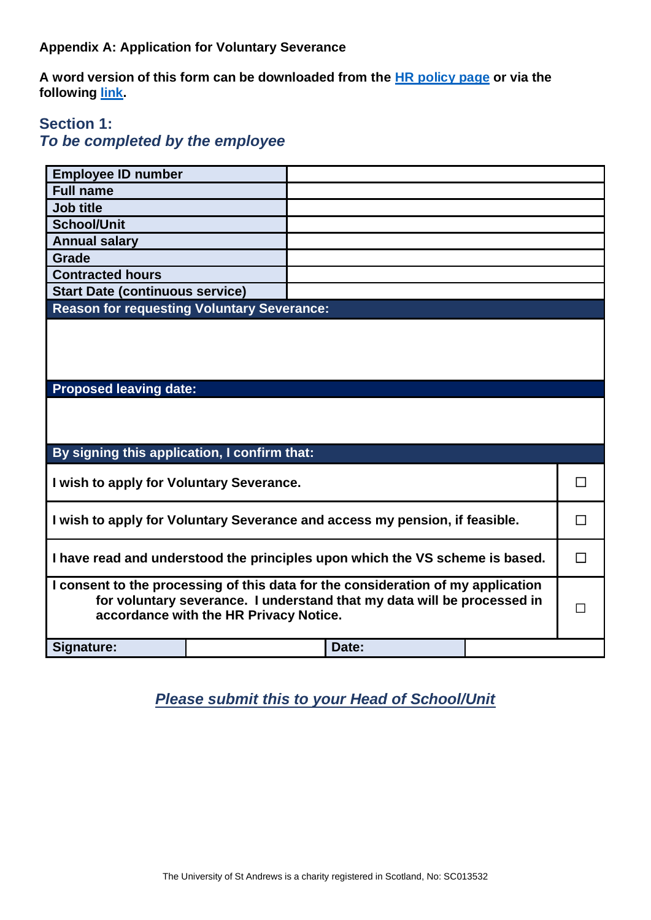#### <span id="page-6-0"></span>**Appendix A: Application for Voluntary Severance**

**A word version of this form can be downloaded from the [HR policy](https://www.st-andrews.ac.uk/staff/policy/hr/) page or via the following [link.](https://www.st-andrews.ac.uk/media/human-resources/new-policy-section-documents/voluntaryseverance/Application_form_for_Voluntary_Severance.docx)**

## **Section 1:**

# *To be completed by the employee*

| <b>Employee ID number</b>                                                                                                                                                                             |  |  |       |  |  |
|-------------------------------------------------------------------------------------------------------------------------------------------------------------------------------------------------------|--|--|-------|--|--|
| <b>Full name</b>                                                                                                                                                                                      |  |  |       |  |  |
| <b>Job title</b>                                                                                                                                                                                      |  |  |       |  |  |
| <b>School/Unit</b>                                                                                                                                                                                    |  |  |       |  |  |
| <b>Annual salary</b>                                                                                                                                                                                  |  |  |       |  |  |
| Grade                                                                                                                                                                                                 |  |  |       |  |  |
| <b>Contracted hours</b>                                                                                                                                                                               |  |  |       |  |  |
| <b>Start Date (continuous service)</b>                                                                                                                                                                |  |  |       |  |  |
| <b>Reason for requesting Voluntary Severance:</b>                                                                                                                                                     |  |  |       |  |  |
|                                                                                                                                                                                                       |  |  |       |  |  |
| <b>Proposed leaving date:</b>                                                                                                                                                                         |  |  |       |  |  |
|                                                                                                                                                                                                       |  |  |       |  |  |
| By signing this application, I confirm that:                                                                                                                                                          |  |  |       |  |  |
| I wish to apply for Voluntary Severance.                                                                                                                                                              |  |  |       |  |  |
| I wish to apply for Voluntary Severance and access my pension, if feasible.                                                                                                                           |  |  |       |  |  |
| I have read and understood the principles upon which the VS scheme is based.                                                                                                                          |  |  |       |  |  |
| I consent to the processing of this data for the consideration of my application<br>for voluntary severance. I understand that my data will be processed in<br>accordance with the HR Privacy Notice. |  |  |       |  |  |
| Signature:                                                                                                                                                                                            |  |  | Date: |  |  |

# *Please submit this to your Head of School/Unit*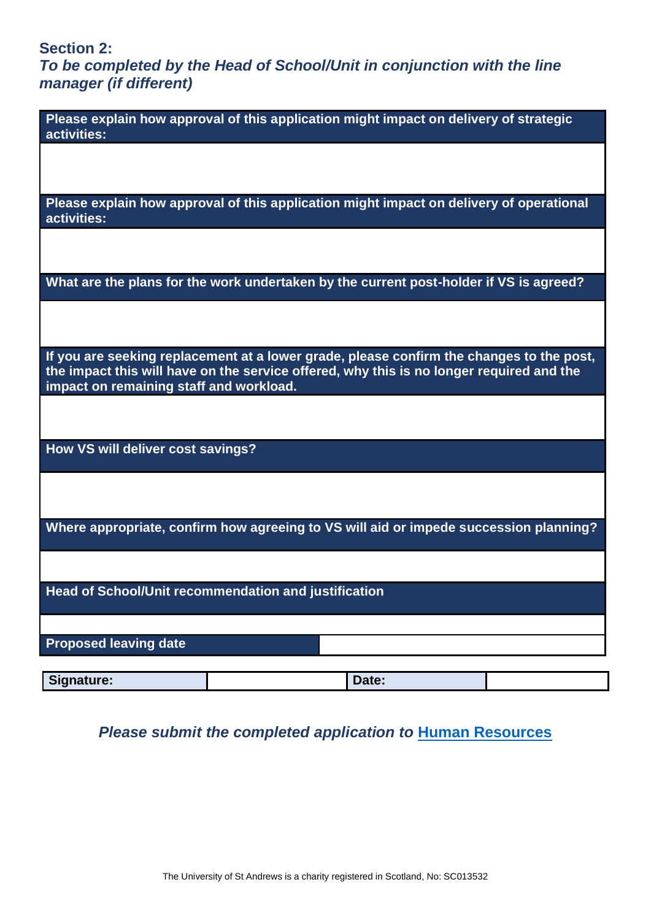# **Section 2:**

*To be completed by the Head of School/Unit in conjunction with the line manager (if different)*

| Please explain how approval of this application might impact on delivery of strategic<br>activities:                                                                                                                            |       |  |
|---------------------------------------------------------------------------------------------------------------------------------------------------------------------------------------------------------------------------------|-------|--|
|                                                                                                                                                                                                                                 |       |  |
| Please explain how approval of this application might impact on delivery of operational<br>activities:                                                                                                                          |       |  |
|                                                                                                                                                                                                                                 |       |  |
| What are the plans for the work undertaken by the current post-holder if VS is agreed?                                                                                                                                          |       |  |
|                                                                                                                                                                                                                                 |       |  |
| If you are seeking replacement at a lower grade, please confirm the changes to the post,<br>the impact this will have on the service offered, why this is no longer required and the<br>impact on remaining staff and workload. |       |  |
|                                                                                                                                                                                                                                 |       |  |
| How VS will deliver cost savings?                                                                                                                                                                                               |       |  |
|                                                                                                                                                                                                                                 |       |  |
| Where appropriate, confirm how agreeing to VS will aid or impede succession planning?                                                                                                                                           |       |  |
|                                                                                                                                                                                                                                 |       |  |
| Head of School/Unit recommendation and justification                                                                                                                                                                            |       |  |
| <b>Proposed leaving date</b>                                                                                                                                                                                                    |       |  |
|                                                                                                                                                                                                                                 |       |  |
| Signature:                                                                                                                                                                                                                      | Date: |  |

# **Please submit the completed application to [Human Resources](mailto:hrdirector@st-andrews.ac.uk)**